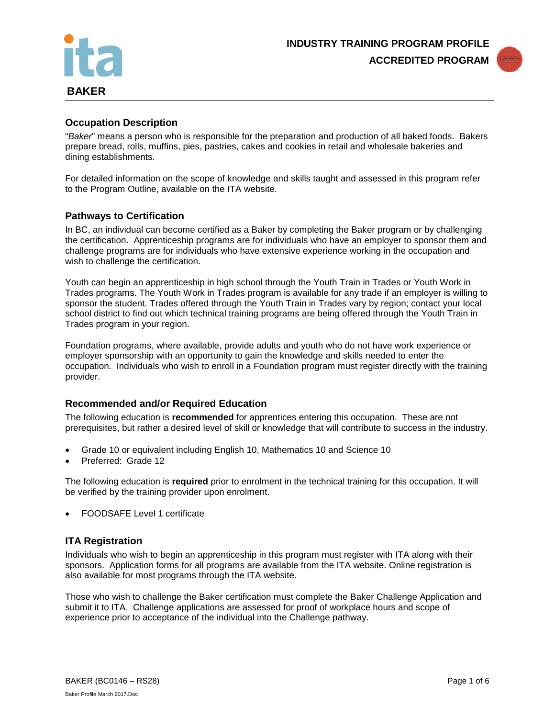



## **Occupation Description**

"*Baker*" means a person who is responsible for the preparation and production of all baked foods. Bakers prepare bread, rolls, muffins, pies, pastries, cakes and cookies in retail and wholesale bakeries and dining establishments.

For detailed information on the scope of knowledge and skills taught and assessed in this program refer to the Program Outline, available on the ITA website.

#### **Pathways to Certification**

In BC, an individual can become certified as a Baker by completing the Baker program or by challenging the certification. Apprenticeship programs are for individuals who have an employer to sponsor them and challenge programs are for individuals who have extensive experience working in the occupation and wish to challenge the certification.

Youth can begin an apprenticeship in high school through the Youth Train in Trades or Youth Work in Trades programs. The Youth Work in Trades program is available for any trade if an employer is willing to sponsor the student. Trades offered through the Youth Train in Trades vary by region; contact your local school district to find out which technical training programs are being offered through the Youth Train in Trades program in your region.

Foundation programs, where available, provide adults and youth who do not have work experience or employer sponsorship with an opportunity to gain the knowledge and skills needed to enter the occupation. Individuals who wish to enroll in a Foundation program must register directly with the training provider.

#### **Recommended and/or Required Education**

The following education is **recommended** for apprentices entering this occupation. These are not prerequisites, but rather a desired level of skill or knowledge that will contribute to success in the industry.

- Grade 10 or equivalent including English 10, Mathematics 10 and Science 10
- Preferred: Grade 12

The following education is **required** prior to enrolment in the technical training for this occupation. It will be verified by the training provider upon enrolment.

• FOODSAFE Level 1 certificate

#### **ITA Registration**

Individuals who wish to begin an apprenticeship in this program must register with ITA along with their sponsors. Application forms for all programs are available from the ITA website. Online registration is also available for most programs through the ITA website.

Those who wish to challenge the Baker certification must complete the Baker Challenge Application and submit it to ITA. Challenge applications are assessed for proof of workplace hours and scope of experience prior to acceptance of the individual into the Challenge pathway.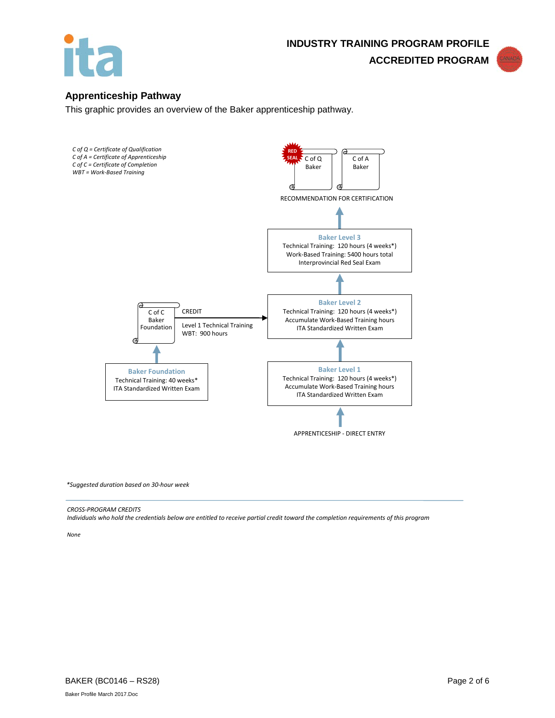



## **Apprenticeship Pathway**

This graphic provides an overview of the Baker apprenticeship pathway.



*\*Suggested duration based on 30-hour week*

#### *CROSS-PROGRAM CREDITS*

*Individuals who hold the credentials below are entitled to receive partial credit toward the completion requirements of this program*

*None*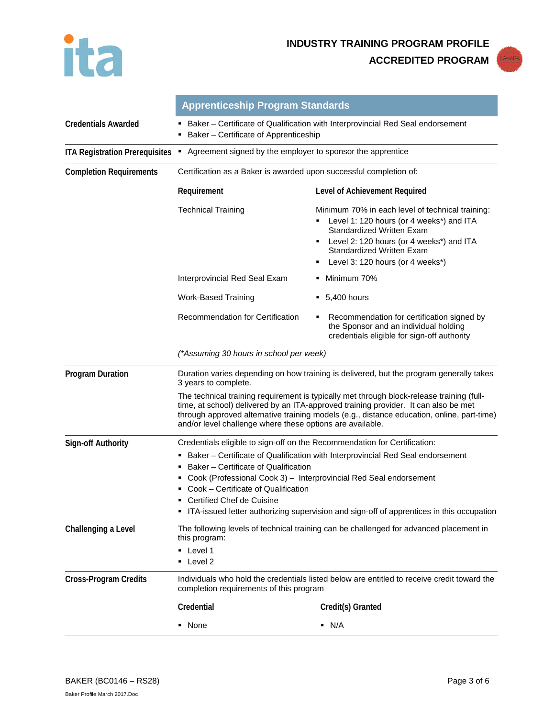

**ACCREDITED PROGRAM**



|                                       | <b>Apprenticeship Program Standards</b>                                                                                                                                                                                                                                                                                                     |                                                                                                                                                                                                                                                   |  |
|---------------------------------------|---------------------------------------------------------------------------------------------------------------------------------------------------------------------------------------------------------------------------------------------------------------------------------------------------------------------------------------------|---------------------------------------------------------------------------------------------------------------------------------------------------------------------------------------------------------------------------------------------------|--|
| <b>Credentials Awarded</b>            | Baker - Certificate of Qualification with Interprovincial Red Seal endorsement<br>Baker - Certificate of Apprenticeship                                                                                                                                                                                                                     |                                                                                                                                                                                                                                                   |  |
| <b>ITA Registration Prerequisites</b> | Agreement signed by the employer to sponsor the apprentice<br>٠.                                                                                                                                                                                                                                                                            |                                                                                                                                                                                                                                                   |  |
| <b>Completion Requirements</b>        | Certification as a Baker is awarded upon successful completion of:                                                                                                                                                                                                                                                                          |                                                                                                                                                                                                                                                   |  |
|                                       | Requirement                                                                                                                                                                                                                                                                                                                                 | Level of Achievement Required                                                                                                                                                                                                                     |  |
|                                       | <b>Technical Training</b>                                                                                                                                                                                                                                                                                                                   | Minimum 70% in each level of technical training:<br>Level 1: 120 hours (or 4 weeks*) and ITA<br>Standardized Written Exam<br>• Level 2: 120 hours (or 4 weeks*) and ITA<br><b>Standardized Written Exam</b><br>Level 3: 120 hours (or 4 weeks*)   |  |
|                                       | Interprovincial Red Seal Exam                                                                                                                                                                                                                                                                                                               | Minimum 70%                                                                                                                                                                                                                                       |  |
|                                       | <b>Work-Based Training</b>                                                                                                                                                                                                                                                                                                                  | $\bullet$ 5,400 hours                                                                                                                                                                                                                             |  |
|                                       | Recommendation for Certification                                                                                                                                                                                                                                                                                                            | Recommendation for certification signed by<br>٠<br>the Sponsor and an individual holding<br>credentials eligible for sign-off authority                                                                                                           |  |
|                                       | (*Assuming 30 hours in school per week)                                                                                                                                                                                                                                                                                                     |                                                                                                                                                                                                                                                   |  |
| <b>Program Duration</b>               | Duration varies depending on how training is delivered, but the program generally takes<br>3 years to complete.                                                                                                                                                                                                                             |                                                                                                                                                                                                                                                   |  |
|                                       | The technical training requirement is typically met through block-release training (full-<br>time, at school) delivered by an ITA-approved training provider. It can also be met<br>through approved alternative training models (e.g., distance education, online, part-time)<br>and/or level challenge where these options are available. |                                                                                                                                                                                                                                                   |  |
| <b>Sign-off Authority</b>             | Credentials eligible to sign-off on the Recommendation for Certification:                                                                                                                                                                                                                                                                   |                                                                                                                                                                                                                                                   |  |
|                                       | Baker - Certificate of Qualification<br>٠<br>Cook - Certificate of Qualification<br>Certified Chef de Cuisine                                                                                                                                                                                                                               | Baker - Certificate of Qualification with Interprovincial Red Seal endorsement<br>Cook (Professional Cook 3) - Interprovincial Red Seal endorsement<br>• ITA-issued letter authorizing supervision and sign-off of apprentices in this occupation |  |
| Challenging a Level                   | The following levels of technical training can be challenged for advanced placement in<br>this program:<br>• Level 1<br>$\blacksquare$ Level 2                                                                                                                                                                                              |                                                                                                                                                                                                                                                   |  |
| <b>Cross-Program Credits</b>          | Individuals who hold the credentials listed below are entitled to receive credit toward the<br>completion requirements of this program                                                                                                                                                                                                      |                                                                                                                                                                                                                                                   |  |
|                                       | Credential                                                                                                                                                                                                                                                                                                                                  | Credit(s) Granted                                                                                                                                                                                                                                 |  |
|                                       | • None                                                                                                                                                                                                                                                                                                                                      | $\blacksquare$ N/A                                                                                                                                                                                                                                |  |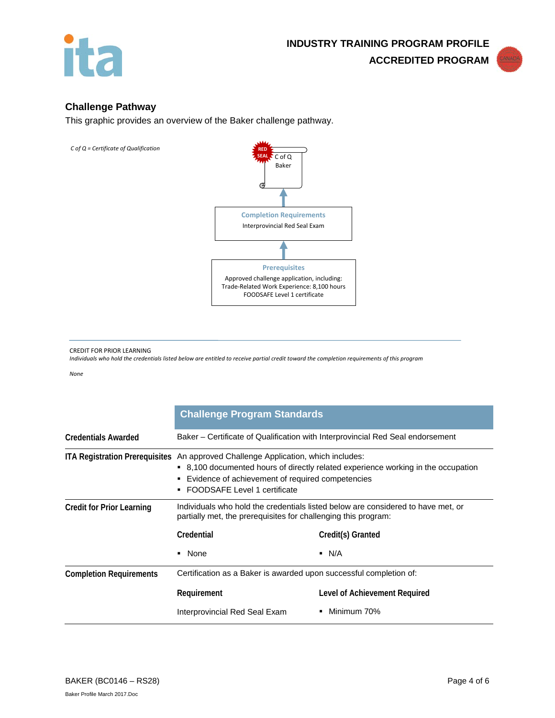



## **Challenge Pathway**

This graphic provides an overview of the Baker challenge pathway.





#### CREDIT FOR PRIOR LEARNING

*Individuals who hold the credentials listed below are entitled to receive partial credit toward the completion requirements of this program*

*None*

|                                  | <b>Challenge Program Standards</b>                                                                                                                                                                                                                         |                               |  |
|----------------------------------|------------------------------------------------------------------------------------------------------------------------------------------------------------------------------------------------------------------------------------------------------------|-------------------------------|--|
| <b>Credentials Awarded</b>       | Baker – Certificate of Qualification with Interprovincial Red Seal endorsement                                                                                                                                                                             |                               |  |
|                                  | ITA Registration Prerequisites An approved Challenge Application, which includes:<br>■ 8,100 documented hours of directly related experience working in the occupation<br>Evidence of achievement of required competencies<br>FOODSAFE Level 1 certificate |                               |  |
| <b>Credit for Prior Learning</b> | Individuals who hold the credentials listed below are considered to have met, or<br>partially met, the prerequisites for challenging this program:                                                                                                         |                               |  |
|                                  | Credential                                                                                                                                                                                                                                                 | Credit(s) Granted             |  |
|                                  | None                                                                                                                                                                                                                                                       | $\blacksquare$ N/A            |  |
| <b>Completion Requirements</b>   | Certification as a Baker is awarded upon successful completion of:                                                                                                                                                                                         |                               |  |
|                                  | Requirement                                                                                                                                                                                                                                                | Level of Achievement Required |  |
|                                  | Interprovincial Red Seal Exam                                                                                                                                                                                                                              | Minimum 70%<br>٠              |  |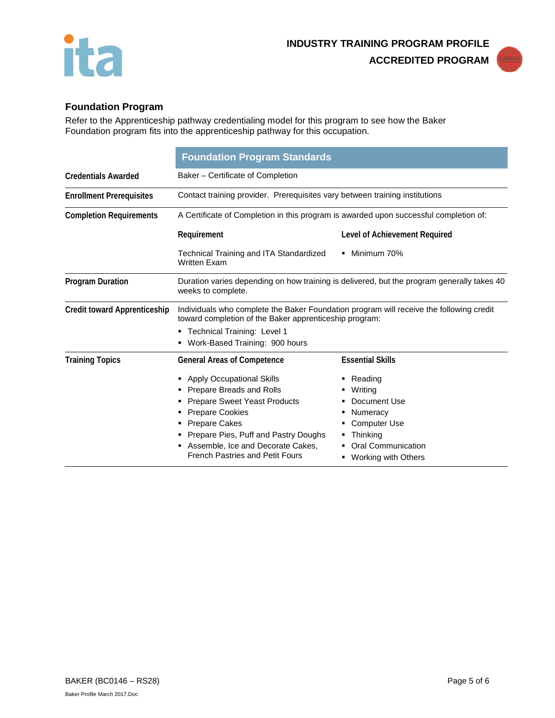



# **Foundation Program**

Refer to the Apprenticeship pathway credentialing model for this program to see how the Baker Foundation program fits into the apprenticeship pathway for this occupation.

|                                     | <b>Foundation Program Standards</b>                                                                                                                                                                                                                                                                           |                                                                                                                                                                                   |  |
|-------------------------------------|---------------------------------------------------------------------------------------------------------------------------------------------------------------------------------------------------------------------------------------------------------------------------------------------------------------|-----------------------------------------------------------------------------------------------------------------------------------------------------------------------------------|--|
| <b>Credentials Awarded</b>          | Baker - Certificate of Completion                                                                                                                                                                                                                                                                             |                                                                                                                                                                                   |  |
| <b>Enrollment Prerequisites</b>     | Contact training provider. Prerequisites vary between training institutions                                                                                                                                                                                                                                   |                                                                                                                                                                                   |  |
| <b>Completion Requirements</b>      | A Certificate of Completion in this program is awarded upon successful completion of:                                                                                                                                                                                                                         |                                                                                                                                                                                   |  |
|                                     | Requirement                                                                                                                                                                                                                                                                                                   | Level of Achievement Required                                                                                                                                                     |  |
|                                     | Technical Training and ITA Standardized<br><b>Written Exam</b>                                                                                                                                                                                                                                                | • Minimum 70%                                                                                                                                                                     |  |
| <b>Program Duration</b>             | Duration varies depending on how training is delivered, but the program generally takes 40<br>weeks to complete.                                                                                                                                                                                              |                                                                                                                                                                                   |  |
| <b>Credit toward Apprenticeship</b> | Individuals who complete the Baker Foundation program will receive the following credit<br>toward completion of the Baker apprenticeship program:<br>" Technical Training: Level 1<br>Work-Based Training: 900 hours                                                                                          |                                                                                                                                                                                   |  |
| <b>Training Topics</b>              | <b>General Areas of Competence</b><br>• Apply Occupational Skills<br>Prepare Breads and Rolls<br><b>Prepare Sweet Yeast Products</b><br><b>Prepare Cookies</b><br><b>Prepare Cakes</b><br>Prepare Pies, Puff and Pastry Doughs<br>Assemble, Ice and Decorate Cakes,<br><b>French Pastries and Petit Fours</b> | <b>Essential Skills</b><br>$\blacksquare$ Reading<br>Writing<br>Document Use<br>Numeracy<br><b>Computer Use</b><br>Thinking<br><b>Oral Communication</b><br>■ Working with Others |  |